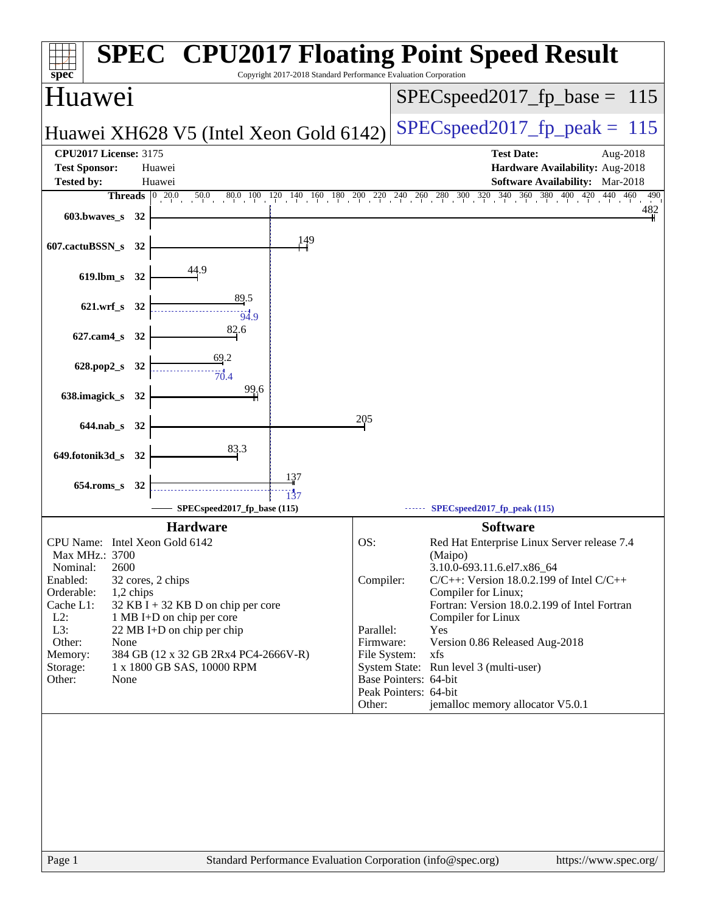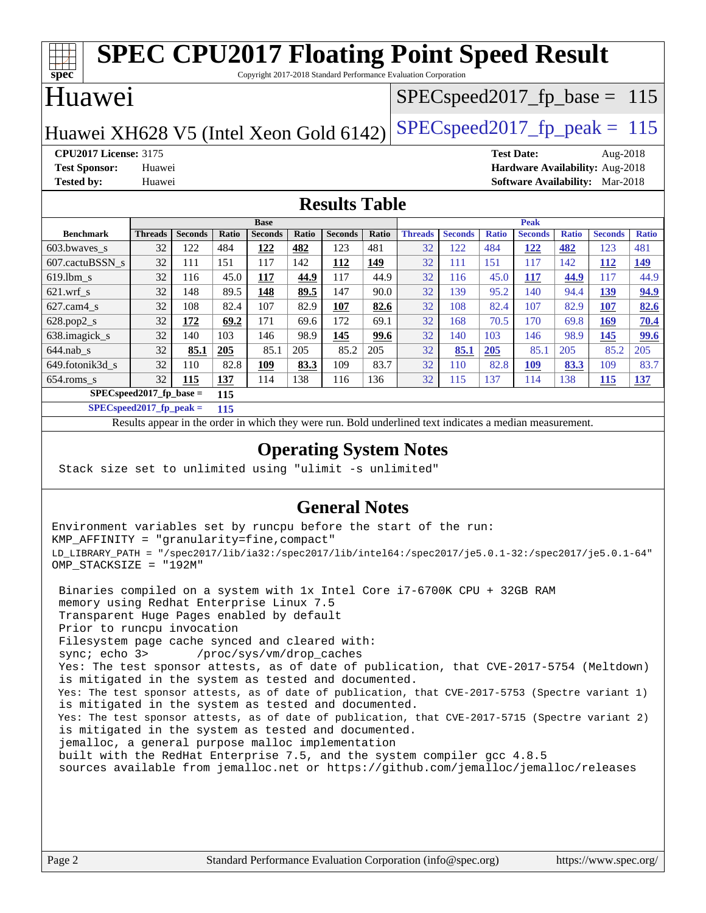#### **[spec](http://www.spec.org/) [SPEC CPU2017 Floating Point Speed Result](http://www.spec.org/auto/cpu2017/Docs/result-fields.html#SPECCPU2017FloatingPointSpeedResult)** Copyright 2017-2018 Standard Performance Evaluation Corporation Huawei Huawei XH628 V5 (Intel Xeon Gold 6142) SPECspeed 2017 fp peak = 115 SPECspeed2017 fp base =  $115$ **[CPU2017 License:](http://www.spec.org/auto/cpu2017/Docs/result-fields.html#CPU2017License)** 3175 **[Test Date:](http://www.spec.org/auto/cpu2017/Docs/result-fields.html#TestDate)** Aug-2018 **[Test Sponsor:](http://www.spec.org/auto/cpu2017/Docs/result-fields.html#TestSponsor)** Huawei **[Hardware Availability:](http://www.spec.org/auto/cpu2017/Docs/result-fields.html#HardwareAvailability)** Aug-2018 **[Tested by:](http://www.spec.org/auto/cpu2017/Docs/result-fields.html#Testedby)** Huawei **[Software Availability:](http://www.spec.org/auto/cpu2017/Docs/result-fields.html#SoftwareAvailability)** Mar-2018 **[Results Table](http://www.spec.org/auto/cpu2017/Docs/result-fields.html#ResultsTable) [Benchmark](http://www.spec.org/auto/cpu2017/Docs/result-fields.html#Benchmark) [Threads](http://www.spec.org/auto/cpu2017/Docs/result-fields.html#Threads) [Seconds](http://www.spec.org/auto/cpu2017/Docs/result-fields.html#Seconds) [Ratio](http://www.spec.org/auto/cpu2017/Docs/result-fields.html#Ratio) [Seconds](http://www.spec.org/auto/cpu2017/Docs/result-fields.html#Seconds) [Ratio](http://www.spec.org/auto/cpu2017/Docs/result-fields.html#Ratio) [Seconds](http://www.spec.org/auto/cpu2017/Docs/result-fields.html#Seconds) [Ratio](http://www.spec.org/auto/cpu2017/Docs/result-fields.html#Ratio) Base [Threads](http://www.spec.org/auto/cpu2017/Docs/result-fields.html#Threads) [Seconds](http://www.spec.org/auto/cpu2017/Docs/result-fields.html#Seconds) [Ratio](http://www.spec.org/auto/cpu2017/Docs/result-fields.html#Ratio) [Seconds](http://www.spec.org/auto/cpu2017/Docs/result-fields.html#Seconds) [Ratio](http://www.spec.org/auto/cpu2017/Docs/result-fields.html#Ratio) [Seconds](http://www.spec.org/auto/cpu2017/Docs/result-fields.html#Seconds) [Ratio](http://www.spec.org/auto/cpu2017/Docs/result-fields.html#Ratio) Peak** [603.bwaves\\_s](http://www.spec.org/auto/cpu2017/Docs/benchmarks/603.bwaves_s.html) 32 122 484 **[122](http://www.spec.org/auto/cpu2017/Docs/result-fields.html#Median) [482](http://www.spec.org/auto/cpu2017/Docs/result-fields.html#Median)** 123 481 32 122 484 **[122](http://www.spec.org/auto/cpu2017/Docs/result-fields.html#Median) [482](http://www.spec.org/auto/cpu2017/Docs/result-fields.html#Median)** 123 481 [607.cactuBSSN\\_s](http://www.spec.org/auto/cpu2017/Docs/benchmarks/607.cactuBSSN_s.html) 32 111 151 117 142 **[112](http://www.spec.org/auto/cpu2017/Docs/result-fields.html#Median) [149](http://www.spec.org/auto/cpu2017/Docs/result-fields.html#Median)** 32 111 151 117 142 **[112](http://www.spec.org/auto/cpu2017/Docs/result-fields.html#Median) [149](http://www.spec.org/auto/cpu2017/Docs/result-fields.html#Median)** [619.lbm\\_s](http://www.spec.org/auto/cpu2017/Docs/benchmarks/619.lbm_s.html) 32 116 45.0 **[117](http://www.spec.org/auto/cpu2017/Docs/result-fields.html#Median) [44.9](http://www.spec.org/auto/cpu2017/Docs/result-fields.html#Median)** 117 44.9 32 116 45.0 **[117](http://www.spec.org/auto/cpu2017/Docs/result-fields.html#Median) [44.9](http://www.spec.org/auto/cpu2017/Docs/result-fields.html#Median)** 117 44.9 [621.wrf\\_s](http://www.spec.org/auto/cpu2017/Docs/benchmarks/621.wrf_s.html) 32 148 89.5 **[148](http://www.spec.org/auto/cpu2017/Docs/result-fields.html#Median) [89.5](http://www.spec.org/auto/cpu2017/Docs/result-fields.html#Median)** 147 90.0 32 139 95.2 140 94.4 **[139](http://www.spec.org/auto/cpu2017/Docs/result-fields.html#Median) [94.9](http://www.spec.org/auto/cpu2017/Docs/result-fields.html#Median)** [627.cam4\\_s](http://www.spec.org/auto/cpu2017/Docs/benchmarks/627.cam4_s.html) 32 108 82.4 107 82.9 **[107](http://www.spec.org/auto/cpu2017/Docs/result-fields.html#Median) [82.6](http://www.spec.org/auto/cpu2017/Docs/result-fields.html#Median)** 32 108 82.4 107 82.9 **[107](http://www.spec.org/auto/cpu2017/Docs/result-fields.html#Median) [82.6](http://www.spec.org/auto/cpu2017/Docs/result-fields.html#Median)** [628.pop2\\_s](http://www.spec.org/auto/cpu2017/Docs/benchmarks/628.pop2_s.html) 32 **[172](http://www.spec.org/auto/cpu2017/Docs/result-fields.html#Median) [69.2](http://www.spec.org/auto/cpu2017/Docs/result-fields.html#Median)** 171 69.6 172 69.1 32 168 70.5 170 69.8 **[169](http://www.spec.org/auto/cpu2017/Docs/result-fields.html#Median) [70.4](http://www.spec.org/auto/cpu2017/Docs/result-fields.html#Median)** [638.imagick\\_s](http://www.spec.org/auto/cpu2017/Docs/benchmarks/638.imagick_s.html) 32 140 103 146 98.9 **[145](http://www.spec.org/auto/cpu2017/Docs/result-fields.html#Median) [99.6](http://www.spec.org/auto/cpu2017/Docs/result-fields.html#Median)** 32 140 103 146 98.9 **[145](http://www.spec.org/auto/cpu2017/Docs/result-fields.html#Median) [99.6](http://www.spec.org/auto/cpu2017/Docs/result-fields.html#Median)** [644.nab\\_s](http://www.spec.org/auto/cpu2017/Docs/benchmarks/644.nab_s.html) 32 **[85.1](http://www.spec.org/auto/cpu2017/Docs/result-fields.html#Median) [205](http://www.spec.org/auto/cpu2017/Docs/result-fields.html#Median)** 85.1 205 85.2 205 32 **[85.1](http://www.spec.org/auto/cpu2017/Docs/result-fields.html#Median) [205](http://www.spec.org/auto/cpu2017/Docs/result-fields.html#Median)** 85.1 205 85.2 205 [649.fotonik3d\\_s](http://www.spec.org/auto/cpu2017/Docs/benchmarks/649.fotonik3d_s.html) 32 110 82.8 **[109](http://www.spec.org/auto/cpu2017/Docs/result-fields.html#Median) [83.3](http://www.spec.org/auto/cpu2017/Docs/result-fields.html#Median)** 109 83.7 32 110 82.8 **[109](http://www.spec.org/auto/cpu2017/Docs/result-fields.html#Median) [83.3](http://www.spec.org/auto/cpu2017/Docs/result-fields.html#Median)** 109 83.7 [654.roms\\_s](http://www.spec.org/auto/cpu2017/Docs/benchmarks/654.roms_s.html) 32 **[115](http://www.spec.org/auto/cpu2017/Docs/result-fields.html#Median) [137](http://www.spec.org/auto/cpu2017/Docs/result-fields.html#Median)** 114 138 116 136 32 115 137 114 138 **[115](http://www.spec.org/auto/cpu2017/Docs/result-fields.html#Median) [137](http://www.spec.org/auto/cpu2017/Docs/result-fields.html#Median) [SPECspeed2017\\_fp\\_base =](http://www.spec.org/auto/cpu2017/Docs/result-fields.html#SPECspeed2017fpbase) 115**

**[SPECspeed2017\\_fp\\_peak =](http://www.spec.org/auto/cpu2017/Docs/result-fields.html#SPECspeed2017fppeak) 115**

Results appear in the [order in which they were run.](http://www.spec.org/auto/cpu2017/Docs/result-fields.html#RunOrder) Bold underlined text [indicates a median measurement](http://www.spec.org/auto/cpu2017/Docs/result-fields.html#Median).

### **[Operating System Notes](http://www.spec.org/auto/cpu2017/Docs/result-fields.html#OperatingSystemNotes)**

Stack size set to unlimited using "ulimit -s unlimited"

### **[General Notes](http://www.spec.org/auto/cpu2017/Docs/result-fields.html#GeneralNotes)**

Environment variables set by runcpu before the start of the run: KMP\_AFFINITY = "granularity=fine,compact" LD\_LIBRARY\_PATH = "/spec2017/lib/ia32:/spec2017/lib/intel64:/spec2017/je5.0.1-32:/spec2017/je5.0.1-64" OMP\_STACKSIZE = "192M"

 Binaries compiled on a system with 1x Intel Core i7-6700K CPU + 32GB RAM memory using Redhat Enterprise Linux 7.5 Transparent Huge Pages enabled by default Prior to runcpu invocation Filesystem page cache synced and cleared with: sync; echo 3> /proc/sys/vm/drop\_caches Yes: The test sponsor attests, as of date of publication, that CVE-2017-5754 (Meltdown) is mitigated in the system as tested and documented. Yes: The test sponsor attests, as of date of publication, that CVE-2017-5753 (Spectre variant 1) is mitigated in the system as tested and documented. Yes: The test sponsor attests, as of date of publication, that CVE-2017-5715 (Spectre variant 2) is mitigated in the system as tested and documented. jemalloc, a general purpose malloc implementation built with the RedHat Enterprise 7.5, and the system compiler gcc 4.8.5 sources available from jemalloc.net or <https://github.com/jemalloc/jemalloc/releases>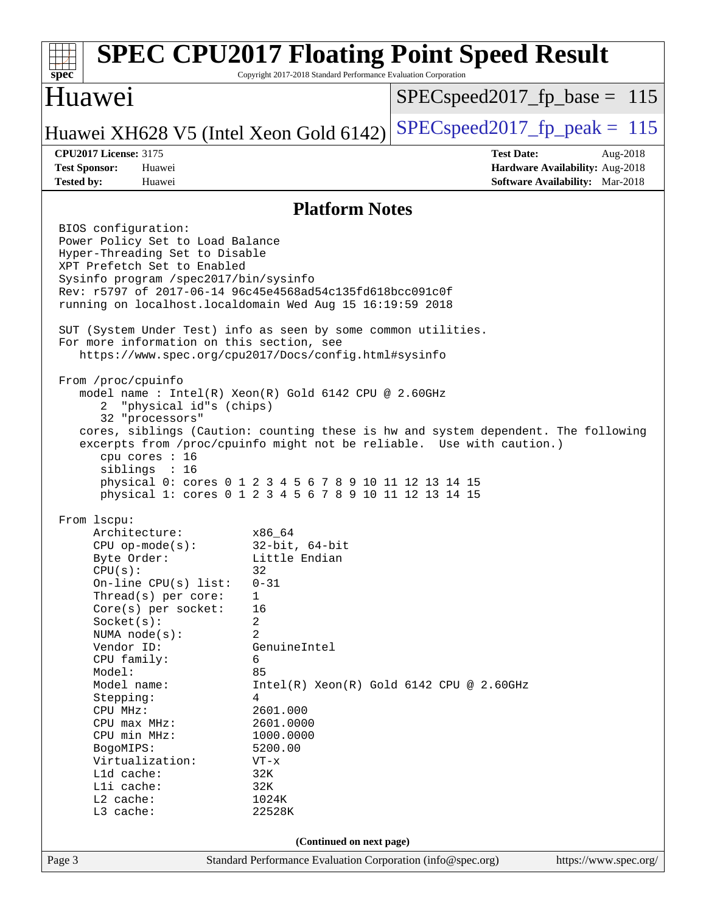#### Page 3 Standard Performance Evaluation Corporation [\(info@spec.org\)](mailto:info@spec.org) <https://www.spec.org/> **[spec](http://www.spec.org/) [SPEC CPU2017 Floating Point Speed Result](http://www.spec.org/auto/cpu2017/Docs/result-fields.html#SPECCPU2017FloatingPointSpeedResult)** Copyright 2017-2018 Standard Performance Evaluation Corporation Huawei Huawei XH628 V5 (Intel Xeon Gold 6142) SPECspeed 2017 fp peak = 115 SPECspeed2017 fp base =  $115$ **[CPU2017 License:](http://www.spec.org/auto/cpu2017/Docs/result-fields.html#CPU2017License)** 3175 **[Test Date:](http://www.spec.org/auto/cpu2017/Docs/result-fields.html#TestDate)** Aug-2018 **[Test Sponsor:](http://www.spec.org/auto/cpu2017/Docs/result-fields.html#TestSponsor)** Huawei **[Hardware Availability:](http://www.spec.org/auto/cpu2017/Docs/result-fields.html#HardwareAvailability)** Aug-2018 **[Tested by:](http://www.spec.org/auto/cpu2017/Docs/result-fields.html#Testedby)** Huawei **[Software Availability:](http://www.spec.org/auto/cpu2017/Docs/result-fields.html#SoftwareAvailability)** Mar-2018 **[Platform Notes](http://www.spec.org/auto/cpu2017/Docs/result-fields.html#PlatformNotes)** BIOS configuration: Power Policy Set to Load Balance Hyper-Threading Set to Disable XPT Prefetch Set to Enabled Sysinfo program /spec2017/bin/sysinfo Rev: r5797 of 2017-06-14 96c45e4568ad54c135fd618bcc091c0f running on localhost.localdomain Wed Aug 15 16:19:59 2018 SUT (System Under Test) info as seen by some common utilities. For more information on this section, see <https://www.spec.org/cpu2017/Docs/config.html#sysinfo> From /proc/cpuinfo model name : Intel(R) Xeon(R) Gold 6142 CPU @ 2.60GHz 2 "physical id"s (chips) 32 "processors" cores, siblings (Caution: counting these is hw and system dependent. The following excerpts from /proc/cpuinfo might not be reliable. Use with caution.) cpu cores : 16 siblings : 16 physical 0: cores 0 1 2 3 4 5 6 7 8 9 10 11 12 13 14 15 physical 1: cores 0 1 2 3 4 5 6 7 8 9 10 11 12 13 14 15 From lscpu: Architecture: x86\_64 CPU op-mode(s): 32-bit, 64-bit Byte Order: Little Endian  $CPU(s):$  32 On-line CPU(s) list: 0-31 Thread(s) per core: 1 Core(s) per socket: 16 Socket(s): 2 NUMA node(s): 2 Vendor ID: GenuineIntel CPU family: 6 Model: 85 Model name:  $Intel(R)$  Xeon(R) Gold 6142 CPU @ 2.60GHz Stepping: 4 CPU MHz: 2601.000 CPU max MHz: 2601.0000 CPU min MHz: 1000.0000 BogoMIPS: 5200.00 Virtualization: VT-x L1d cache: 32K<br>
L1i cache: 32K  $L1i$  cache: L2 cache: 1024K L3 cache: 22528K **(Continued on next page)**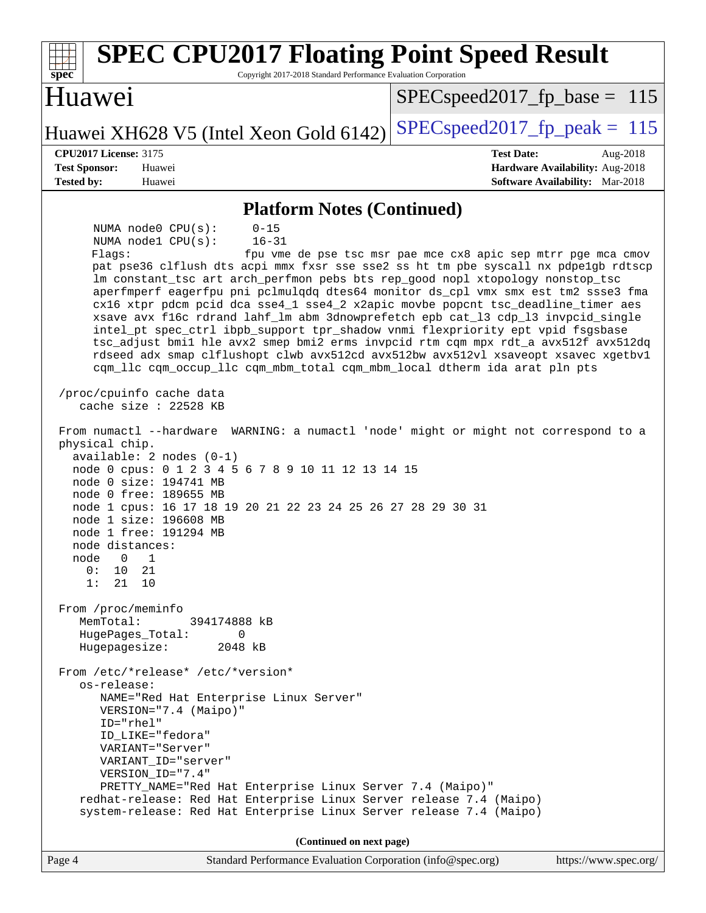| <b>SPEC CPU2017 Floating Point Speed Result</b><br>Copyright 2017-2018 Standard Performance Evaluation Corporation<br>$spec^*$                                                                                                                                                                                                                                                                                                                                                                                                                                                                                                                                                                                                                                                                                                                                                                                                                                                                                                                                                                                                                                                                                                                                                                                                                                                                                                                                                                                                                                                                  |                                                                           |  |  |  |  |
|-------------------------------------------------------------------------------------------------------------------------------------------------------------------------------------------------------------------------------------------------------------------------------------------------------------------------------------------------------------------------------------------------------------------------------------------------------------------------------------------------------------------------------------------------------------------------------------------------------------------------------------------------------------------------------------------------------------------------------------------------------------------------------------------------------------------------------------------------------------------------------------------------------------------------------------------------------------------------------------------------------------------------------------------------------------------------------------------------------------------------------------------------------------------------------------------------------------------------------------------------------------------------------------------------------------------------------------------------------------------------------------------------------------------------------------------------------------------------------------------------------------------------------------------------------------------------------------------------|---------------------------------------------------------------------------|--|--|--|--|
| Huawei                                                                                                                                                                                                                                                                                                                                                                                                                                                                                                                                                                                                                                                                                                                                                                                                                                                                                                                                                                                                                                                                                                                                                                                                                                                                                                                                                                                                                                                                                                                                                                                          | $SPEC speed2017_f p\_base = 115$                                          |  |  |  |  |
| Huawei XH628 V5 (Intel Xeon Gold 6142)                                                                                                                                                                                                                                                                                                                                                                                                                                                                                                                                                                                                                                                                                                                                                                                                                                                                                                                                                                                                                                                                                                                                                                                                                                                                                                                                                                                                                                                                                                                                                          | $SPEC speed2017_fp\_peak = 115$                                           |  |  |  |  |
| <b>CPU2017 License: 3175</b>                                                                                                                                                                                                                                                                                                                                                                                                                                                                                                                                                                                                                                                                                                                                                                                                                                                                                                                                                                                                                                                                                                                                                                                                                                                                                                                                                                                                                                                                                                                                                                    | <b>Test Date:</b><br>Aug-2018                                             |  |  |  |  |
| <b>Test Sponsor:</b><br>Huawei<br><b>Tested by:</b><br>Huawei                                                                                                                                                                                                                                                                                                                                                                                                                                                                                                                                                                                                                                                                                                                                                                                                                                                                                                                                                                                                                                                                                                                                                                                                                                                                                                                                                                                                                                                                                                                                   | Hardware Availability: Aug-2018<br><b>Software Availability:</b> Mar-2018 |  |  |  |  |
| <b>Platform Notes (Continued)</b>                                                                                                                                                                                                                                                                                                                                                                                                                                                                                                                                                                                                                                                                                                                                                                                                                                                                                                                                                                                                                                                                                                                                                                                                                                                                                                                                                                                                                                                                                                                                                               |                                                                           |  |  |  |  |
| NUMA node0 CPU(s):<br>$0 - 15$<br>NUMA nodel CPU(s):<br>$16 - 31$<br>Flaqs:<br>pat pse36 clflush dts acpi mmx fxsr sse sse2 ss ht tm pbe syscall nx pdpelgb rdtscp<br>lm constant_tsc art arch_perfmon pebs bts rep_good nopl xtopology nonstop_tsc<br>aperfmperf eagerfpu pni pclmulqdq dtes64 monitor ds_cpl vmx smx est tm2 ssse3 fma<br>cx16 xtpr pdcm pcid dca sse4_1 sse4_2 x2apic movbe popcnt tsc_deadline_timer aes<br>xsave avx f16c rdrand lahf_lm abm 3dnowprefetch epb cat_13 cdp_13 invpcid_single<br>intel_pt spec_ctrl ibpb_support tpr_shadow vnmi flexpriority ept vpid fsgsbase<br>tsc_adjust bmil hle avx2 smep bmi2 erms invpcid rtm cqm mpx rdt_a avx512f avx512dq<br>rdseed adx smap clflushopt clwb avx512cd avx512bw avx512vl xsaveopt xsavec xgetbvl<br>cqm_llc cqm_occup_llc cqm_mbm_total cqm_mbm_local dtherm ida arat pln pts<br>/proc/cpuinfo cache data<br>cache size : $22528$ KB<br>From numactl --hardware WARNING: a numactl 'node' might or might not correspond to a<br>physical chip.<br>$available: 2 nodes (0-1)$<br>node 0 cpus: 0 1 2 3 4 5 6 7 8 9 10 11 12 13 14 15<br>node 0 size: 194741 MB<br>node 0 free: 189655 MB<br>node 1 cpus: 16 17 18 19 20 21 22 23 24 25 26 27 28 29 30 31<br>node 1 size: 196608 MB<br>node 1 free: 191294 MB<br>node distances:<br>node 0 1<br>0:<br>10 21<br>1:<br>21<br>10<br>From /proc/meminfo<br>MemTotal:<br>394174888 kB<br>HugePages_Total:<br>$\Omega$<br>2048 kB<br>Hugepagesize:<br>From /etc/*release* /etc/*version*<br>os-release:<br>NAME="Red Hat Enterprise Linux Server"<br>VERSION="7.4 (Maipo)" | fpu vme de pse tsc msr pae mce cx8 apic sep mtrr pge mca cmov             |  |  |  |  |
| ID="rhel"<br>ID_LIKE="fedora"<br>VARIANT="Server"                                                                                                                                                                                                                                                                                                                                                                                                                                                                                                                                                                                                                                                                                                                                                                                                                                                                                                                                                                                                                                                                                                                                                                                                                                                                                                                                                                                                                                                                                                                                               |                                                                           |  |  |  |  |
| VARIANT_ID="server"                                                                                                                                                                                                                                                                                                                                                                                                                                                                                                                                                                                                                                                                                                                                                                                                                                                                                                                                                                                                                                                                                                                                                                                                                                                                                                                                                                                                                                                                                                                                                                             |                                                                           |  |  |  |  |
| VERSION_ID="7.4"                                                                                                                                                                                                                                                                                                                                                                                                                                                                                                                                                                                                                                                                                                                                                                                                                                                                                                                                                                                                                                                                                                                                                                                                                                                                                                                                                                                                                                                                                                                                                                                |                                                                           |  |  |  |  |
| PRETTY_NAME="Red Hat Enterprise Linux Server 7.4 (Maipo)"<br>redhat-release: Red Hat Enterprise Linux Server release 7.4 (Maipo)                                                                                                                                                                                                                                                                                                                                                                                                                                                                                                                                                                                                                                                                                                                                                                                                                                                                                                                                                                                                                                                                                                                                                                                                                                                                                                                                                                                                                                                                |                                                                           |  |  |  |  |
| system-release: Red Hat Enterprise Linux Server release 7.4 (Maipo)                                                                                                                                                                                                                                                                                                                                                                                                                                                                                                                                                                                                                                                                                                                                                                                                                                                                                                                                                                                                                                                                                                                                                                                                                                                                                                                                                                                                                                                                                                                             |                                                                           |  |  |  |  |
| (Continued on next page)                                                                                                                                                                                                                                                                                                                                                                                                                                                                                                                                                                                                                                                                                                                                                                                                                                                                                                                                                                                                                                                                                                                                                                                                                                                                                                                                                                                                                                                                                                                                                                        |                                                                           |  |  |  |  |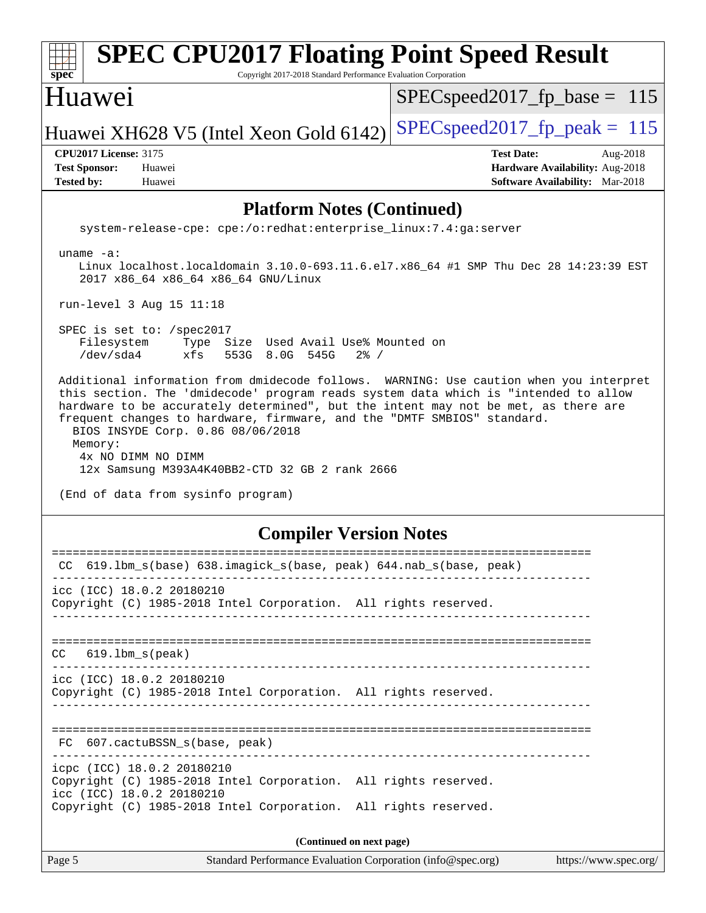| <b>SPEC CPU2017 Floating Point Speed Result</b><br>$spec^*$<br>Copyright 2017-2018 Standard Performance Evaluation Corporation                                                                                                                                                                                                                                                                                                                                                                               |                                                                                                            |  |  |  |
|--------------------------------------------------------------------------------------------------------------------------------------------------------------------------------------------------------------------------------------------------------------------------------------------------------------------------------------------------------------------------------------------------------------------------------------------------------------------------------------------------------------|------------------------------------------------------------------------------------------------------------|--|--|--|
| Huawei                                                                                                                                                                                                                                                                                                                                                                                                                                                                                                       | $SPEC speed2017_fp\_base = 115$                                                                            |  |  |  |
| Huawei XH628 V5 (Intel Xeon Gold 6142)                                                                                                                                                                                                                                                                                                                                                                                                                                                                       | $SPEC speed2017_fp\_peak = 115$                                                                            |  |  |  |
| <b>CPU2017 License: 3175</b><br><b>Test Sponsor:</b><br>Huawei<br><b>Tested by:</b><br>Huawei                                                                                                                                                                                                                                                                                                                                                                                                                | <b>Test Date:</b><br>Aug-2018<br>Hardware Availability: Aug-2018<br><b>Software Availability:</b> Mar-2018 |  |  |  |
| <b>Platform Notes (Continued)</b>                                                                                                                                                                                                                                                                                                                                                                                                                                                                            |                                                                                                            |  |  |  |
| system-release-cpe: cpe:/o:redhat:enterprise_linux:7.4:ga:server                                                                                                                                                                                                                                                                                                                                                                                                                                             |                                                                                                            |  |  |  |
| uname $-a$ :<br>Linux localhost.localdomain 3.10.0-693.11.6.el7.x86_64 #1 SMP Thu Dec 28 14:23:39 EST<br>2017 x86_64 x86_64 x86_64 GNU/Linux                                                                                                                                                                                                                                                                                                                                                                 |                                                                                                            |  |  |  |
| run-level 3 Aug 15 11:18                                                                                                                                                                                                                                                                                                                                                                                                                                                                                     |                                                                                                            |  |  |  |
| SPEC is set to: /spec2017<br>Filesystem<br>Type Size Used Avail Use% Mounted on<br>/dev/sda4<br>xfs<br>553G 8.0G 545G<br>$2\frac{8}{1}$ /                                                                                                                                                                                                                                                                                                                                                                    |                                                                                                            |  |  |  |
| Additional information from dmidecode follows. WARNING: Use caution when you interpret<br>this section. The 'dmidecode' program reads system data which is "intended to allow<br>hardware to be accurately determined", but the intent may not be met, as there are<br>frequent changes to hardware, firmware, and the "DMTF SMBIOS" standard.<br>BIOS INSYDE Corp. 0.86 08/06/2018<br>Memory:<br>4x NO DIMM NO DIMM<br>12x Samsung M393A4K40BB2-CTD 32 GB 2 rank 2666<br>(End of data from sysinfo program) |                                                                                                            |  |  |  |
| <b>Compiler Version Notes</b>                                                                                                                                                                                                                                                                                                                                                                                                                                                                                |                                                                                                            |  |  |  |
| CC 619.1bm_s(base) 638.imagick_s(base, peak) 644.nab_s(base, peak)                                                                                                                                                                                                                                                                                                                                                                                                                                           |                                                                                                            |  |  |  |
| icc (ICC) 18.0.2 20180210<br>Copyright (C) 1985-2018 Intel Corporation. All rights reserved.                                                                                                                                                                                                                                                                                                                                                                                                                 |                                                                                                            |  |  |  |
| $619.1$ bm_s(peak)<br>CC.                                                                                                                                                                                                                                                                                                                                                                                                                                                                                    |                                                                                                            |  |  |  |
| icc (ICC) 18.0.2 20180210<br>Copyright (C) 1985-2018 Intel Corporation. All rights reserved.                                                                                                                                                                                                                                                                                                                                                                                                                 |                                                                                                            |  |  |  |
| FC 607.cactuBSSN_s(base, peak)<br>-----------------------------                                                                                                                                                                                                                                                                                                                                                                                                                                              |                                                                                                            |  |  |  |
| icpc (ICC) 18.0.2 20180210<br>Copyright (C) 1985-2018 Intel Corporation. All rights reserved.<br>icc (ICC) 18.0.2 20180210<br>Copyright (C) 1985-2018 Intel Corporation. All rights reserved.                                                                                                                                                                                                                                                                                                                |                                                                                                            |  |  |  |
|                                                                                                                                                                                                                                                                                                                                                                                                                                                                                                              |                                                                                                            |  |  |  |
| (Continued on next page)<br>Page 5<br>Standard Performance Evaluation Corporation (info@spec.org)                                                                                                                                                                                                                                                                                                                                                                                                            | https://www.spec.org/                                                                                      |  |  |  |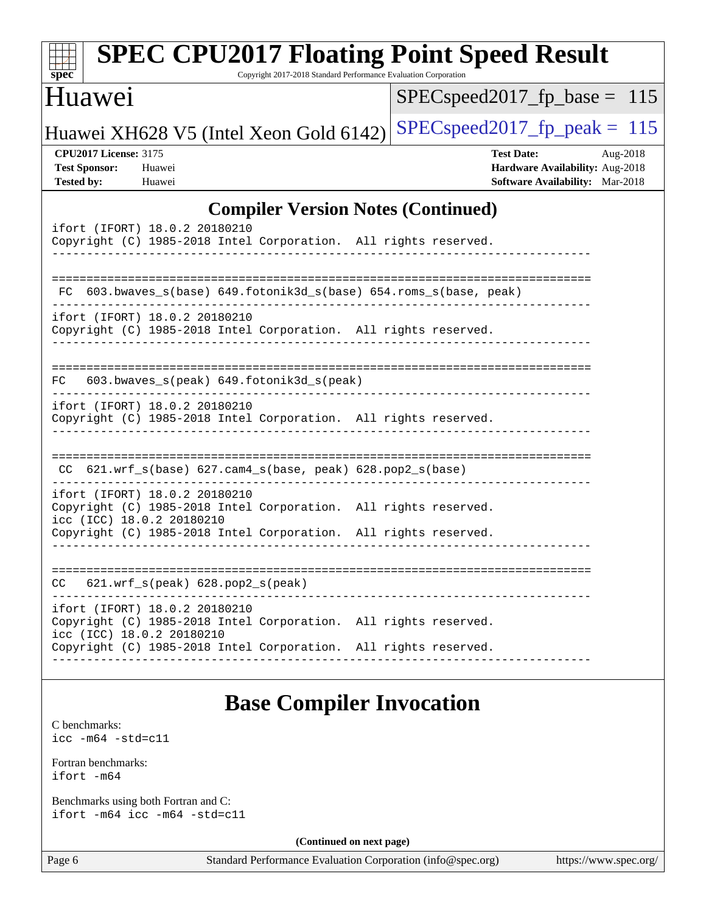| spec <sup>®</sup>                                                                             |                                                                 | <b>SPEC CPU2017 Floating Point Speed Result</b><br>Copyright 2017-2018 Standard Performance Evaluation Corporation |                                                                                |
|-----------------------------------------------------------------------------------------------|-----------------------------------------------------------------|--------------------------------------------------------------------------------------------------------------------|--------------------------------------------------------------------------------|
| Huawei                                                                                        |                                                                 |                                                                                                                    | $SPEC speed2017_fp\_base = 115$                                                |
|                                                                                               | Huawei XH628 V5 (Intel Xeon Gold 6142)                          |                                                                                                                    | $SPEC speed2017_fp\_peak = 115$                                                |
| <b>CPU2017 License: 3175</b><br><b>Test Sponsor:</b><br>Huawei<br><b>Tested by:</b><br>Huawei |                                                                 | <b>Test Date:</b>                                                                                                  | Aug-2018<br>Hardware Availability: Aug-2018<br>Software Availability: Mar-2018 |
|                                                                                               |                                                                 | <b>Compiler Version Notes (Continued)</b>                                                                          |                                                                                |
| ifort (IFORT) 18.0.2 20180210                                                                 | Copyright (C) 1985-2018 Intel Corporation. All rights reserved. |                                                                                                                    |                                                                                |
|                                                                                               |                                                                 | FC 603.bwaves_s(base) 649.fotonik3d_s(base) 654.roms_s(base, peak)                                                 |                                                                                |
| ifort (IFORT) 18.0.2 20180210                                                                 | Copyright (C) 1985-2018 Intel Corporation. All rights reserved. |                                                                                                                    |                                                                                |
| FC.                                                                                           | 603.bwaves_s(peak) 649.fotonik3d_s(peak)                        |                                                                                                                    |                                                                                |
| ifort (IFORT) 18.0.2 20180210                                                                 | Copyright (C) 1985-2018 Intel Corporation. All rights reserved. |                                                                                                                    |                                                                                |
|                                                                                               | $CC$ 621.wrf_s(base) 627.cam4_s(base, peak) 628.pop2_s(base)    |                                                                                                                    |                                                                                |
| ifort (IFORT) 18.0.2 20180210<br>icc (ICC) 18.0.2 20180210                                    | Copyright (C) 1985-2018 Intel Corporation. All rights reserved. |                                                                                                                    |                                                                                |
|                                                                                               | Copyright (C) 1985-2018 Intel Corporation. All rights reserved. |                                                                                                                    |                                                                                |
| CC                                                                                            | 621.wrf_s(peak) 628.pop2_s(peak)                                |                                                                                                                    |                                                                                |
| ifort (IFORT) 18.0.2 20180210<br>icc (ICC) 18.0.2 20180210                                    | Copyright (C) 1985-2018 Intel Corporation. All rights reserved. |                                                                                                                    |                                                                                |
|                                                                                               | Copyright (C) 1985-2018 Intel Corporation. All rights reserved. |                                                                                                                    |                                                                                |
| <b>Base Compiler Invocation</b>                                                               |                                                                 |                                                                                                                    |                                                                                |
| C benchmarks:<br>$\text{icc}$ -m64 -std=c11                                                   |                                                                 |                                                                                                                    |                                                                                |
| Fortran benchmarks:<br>$ifort -m64$                                                           |                                                                 |                                                                                                                    |                                                                                |
| Benchmarks using both Fortran and C:<br>ifort $-m64$ icc $-m64$ $-std=cl1$                    |                                                                 |                                                                                                                    |                                                                                |
| (Continued on next page)                                                                      |                                                                 |                                                                                                                    |                                                                                |
| Page 6                                                                                        |                                                                 | Standard Performance Evaluation Corporation (info@spec.org)                                                        | https://www.spec.org/                                                          |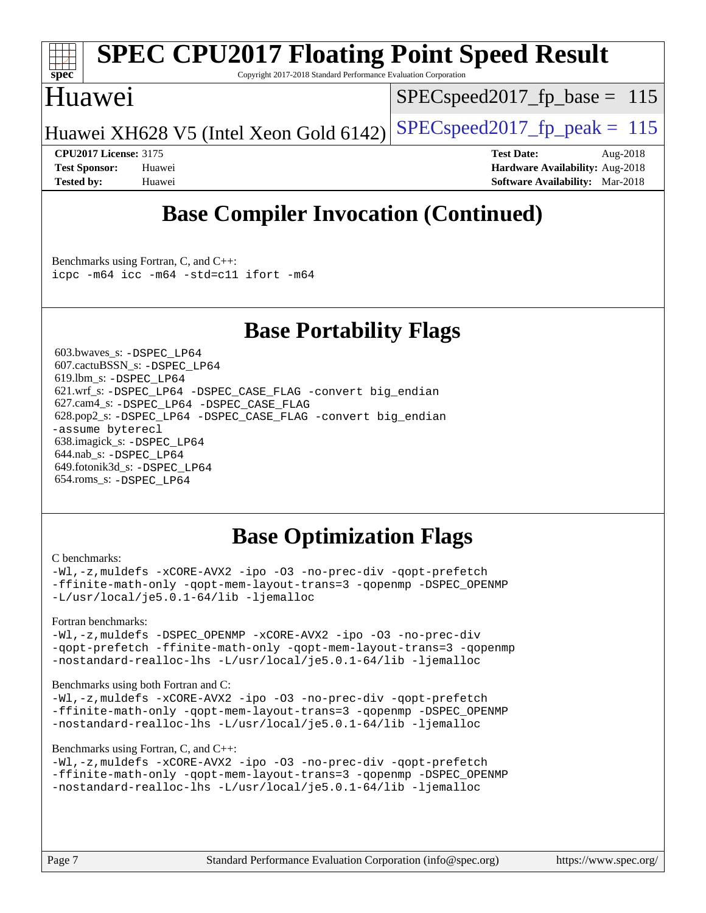

# **[SPEC CPU2017 Floating Point Speed Result](http://www.spec.org/auto/cpu2017/Docs/result-fields.html#SPECCPU2017FloatingPointSpeedResult)**

Copyright 2017-2018 Standard Performance Evaluation Corporation

### Huawei

SPECspeed2017 fp base =  $115$ 

Huawei XH628 V5 (Intel Xeon Gold 6142) SPECspeed 2017 fp peak = 115

**[CPU2017 License:](http://www.spec.org/auto/cpu2017/Docs/result-fields.html#CPU2017License)** 3175 **[Test Date:](http://www.spec.org/auto/cpu2017/Docs/result-fields.html#TestDate)** Aug-2018 **[Test Sponsor:](http://www.spec.org/auto/cpu2017/Docs/result-fields.html#TestSponsor)** Huawei **[Hardware Availability:](http://www.spec.org/auto/cpu2017/Docs/result-fields.html#HardwareAvailability)** Aug-2018 **[Tested by:](http://www.spec.org/auto/cpu2017/Docs/result-fields.html#Testedby)** Huawei **[Software Availability:](http://www.spec.org/auto/cpu2017/Docs/result-fields.html#SoftwareAvailability)** Mar-2018

## **[Base Compiler Invocation \(Continued\)](http://www.spec.org/auto/cpu2017/Docs/result-fields.html#BaseCompilerInvocation)**

[Benchmarks using Fortran, C, and C++:](http://www.spec.org/auto/cpu2017/Docs/result-fields.html#BenchmarksusingFortranCandCXX) [icpc -m64](http://www.spec.org/cpu2017/results/res2018q4/cpu2017-20181025-09294.flags.html#user_CC_CXX_FCbase_intel_icpc_64bit_4ecb2543ae3f1412ef961e0650ca070fec7b7afdcd6ed48761b84423119d1bf6bdf5cad15b44d48e7256388bc77273b966e5eb805aefd121eb22e9299b2ec9d9) [icc -m64 -std=c11](http://www.spec.org/cpu2017/results/res2018q4/cpu2017-20181025-09294.flags.html#user_CC_CXX_FCbase_intel_icc_64bit_c11_33ee0cdaae7deeeab2a9725423ba97205ce30f63b9926c2519791662299b76a0318f32ddfffdc46587804de3178b4f9328c46fa7c2b0cd779d7a61945c91cd35) [ifort -m64](http://www.spec.org/cpu2017/results/res2018q4/cpu2017-20181025-09294.flags.html#user_CC_CXX_FCbase_intel_ifort_64bit_24f2bb282fbaeffd6157abe4f878425411749daecae9a33200eee2bee2fe76f3b89351d69a8130dd5949958ce389cf37ff59a95e7a40d588e8d3a57e0c3fd751)

### **[Base Portability Flags](http://www.spec.org/auto/cpu2017/Docs/result-fields.html#BasePortabilityFlags)**

 603.bwaves\_s: [-DSPEC\\_LP64](http://www.spec.org/cpu2017/results/res2018q4/cpu2017-20181025-09294.flags.html#suite_basePORTABILITY603_bwaves_s_DSPEC_LP64) 607.cactuBSSN\_s: [-DSPEC\\_LP64](http://www.spec.org/cpu2017/results/res2018q4/cpu2017-20181025-09294.flags.html#suite_basePORTABILITY607_cactuBSSN_s_DSPEC_LP64) 619.lbm\_s: [-DSPEC\\_LP64](http://www.spec.org/cpu2017/results/res2018q4/cpu2017-20181025-09294.flags.html#suite_basePORTABILITY619_lbm_s_DSPEC_LP64) 621.wrf\_s: [-DSPEC\\_LP64](http://www.spec.org/cpu2017/results/res2018q4/cpu2017-20181025-09294.flags.html#suite_basePORTABILITY621_wrf_s_DSPEC_LP64) [-DSPEC\\_CASE\\_FLAG](http://www.spec.org/cpu2017/results/res2018q4/cpu2017-20181025-09294.flags.html#b621.wrf_s_baseCPORTABILITY_DSPEC_CASE_FLAG) [-convert big\\_endian](http://www.spec.org/cpu2017/results/res2018q4/cpu2017-20181025-09294.flags.html#user_baseFPORTABILITY621_wrf_s_convert_big_endian_c3194028bc08c63ac5d04de18c48ce6d347e4e562e8892b8bdbdc0214820426deb8554edfa529a3fb25a586e65a3d812c835984020483e7e73212c4d31a38223) 627.cam4\_s: [-DSPEC\\_LP64](http://www.spec.org/cpu2017/results/res2018q4/cpu2017-20181025-09294.flags.html#suite_basePORTABILITY627_cam4_s_DSPEC_LP64) [-DSPEC\\_CASE\\_FLAG](http://www.spec.org/cpu2017/results/res2018q4/cpu2017-20181025-09294.flags.html#b627.cam4_s_baseCPORTABILITY_DSPEC_CASE_FLAG) 628.pop2\_s: [-DSPEC\\_LP64](http://www.spec.org/cpu2017/results/res2018q4/cpu2017-20181025-09294.flags.html#suite_basePORTABILITY628_pop2_s_DSPEC_LP64) [-DSPEC\\_CASE\\_FLAG](http://www.spec.org/cpu2017/results/res2018q4/cpu2017-20181025-09294.flags.html#b628.pop2_s_baseCPORTABILITY_DSPEC_CASE_FLAG) [-convert big\\_endian](http://www.spec.org/cpu2017/results/res2018q4/cpu2017-20181025-09294.flags.html#user_baseFPORTABILITY628_pop2_s_convert_big_endian_c3194028bc08c63ac5d04de18c48ce6d347e4e562e8892b8bdbdc0214820426deb8554edfa529a3fb25a586e65a3d812c835984020483e7e73212c4d31a38223) [-assume byterecl](http://www.spec.org/cpu2017/results/res2018q4/cpu2017-20181025-09294.flags.html#user_baseFPORTABILITY628_pop2_s_assume_byterecl_7e47d18b9513cf18525430bbf0f2177aa9bf368bc7a059c09b2c06a34b53bd3447c950d3f8d6c70e3faf3a05c8557d66a5798b567902e8849adc142926523472) 638.imagick\_s: [-DSPEC\\_LP64](http://www.spec.org/cpu2017/results/res2018q4/cpu2017-20181025-09294.flags.html#suite_basePORTABILITY638_imagick_s_DSPEC_LP64) 644.nab\_s: [-DSPEC\\_LP64](http://www.spec.org/cpu2017/results/res2018q4/cpu2017-20181025-09294.flags.html#suite_basePORTABILITY644_nab_s_DSPEC_LP64) 649.fotonik3d\_s: [-DSPEC\\_LP64](http://www.spec.org/cpu2017/results/res2018q4/cpu2017-20181025-09294.flags.html#suite_basePORTABILITY649_fotonik3d_s_DSPEC_LP64) 654.roms\_s: [-DSPEC\\_LP64](http://www.spec.org/cpu2017/results/res2018q4/cpu2017-20181025-09294.flags.html#suite_basePORTABILITY654_roms_s_DSPEC_LP64)

### **[Base Optimization Flags](http://www.spec.org/auto/cpu2017/Docs/result-fields.html#BaseOptimizationFlags)**

#### [C benchmarks](http://www.spec.org/auto/cpu2017/Docs/result-fields.html#Cbenchmarks):

[-Wl,-z,muldefs](http://www.spec.org/cpu2017/results/res2018q4/cpu2017-20181025-09294.flags.html#user_CCbase_link_force_multiple1_b4cbdb97b34bdee9ceefcfe54f4c8ea74255f0b02a4b23e853cdb0e18eb4525ac79b5a88067c842dd0ee6996c24547a27a4b99331201badda8798ef8a743f577) [-xCORE-AVX2](http://www.spec.org/cpu2017/results/res2018q4/cpu2017-20181025-09294.flags.html#user_CCbase_f-xCORE-AVX2) [-ipo](http://www.spec.org/cpu2017/results/res2018q4/cpu2017-20181025-09294.flags.html#user_CCbase_f-ipo) [-O3](http://www.spec.org/cpu2017/results/res2018q4/cpu2017-20181025-09294.flags.html#user_CCbase_f-O3) [-no-prec-div](http://www.spec.org/cpu2017/results/res2018q4/cpu2017-20181025-09294.flags.html#user_CCbase_f-no-prec-div) [-qopt-prefetch](http://www.spec.org/cpu2017/results/res2018q4/cpu2017-20181025-09294.flags.html#user_CCbase_f-qopt-prefetch) [-ffinite-math-only](http://www.spec.org/cpu2017/results/res2018q4/cpu2017-20181025-09294.flags.html#user_CCbase_f_finite_math_only_cb91587bd2077682c4b38af759c288ed7c732db004271a9512da14a4f8007909a5f1427ecbf1a0fb78ff2a814402c6114ac565ca162485bbcae155b5e4258871) [-qopt-mem-layout-trans=3](http://www.spec.org/cpu2017/results/res2018q4/cpu2017-20181025-09294.flags.html#user_CCbase_f-qopt-mem-layout-trans_de80db37974c74b1f0e20d883f0b675c88c3b01e9d123adea9b28688d64333345fb62bc4a798493513fdb68f60282f9a726aa07f478b2f7113531aecce732043) [-qopenmp](http://www.spec.org/cpu2017/results/res2018q4/cpu2017-20181025-09294.flags.html#user_CCbase_qopenmp_16be0c44f24f464004c6784a7acb94aca937f053568ce72f94b139a11c7c168634a55f6653758ddd83bcf7b8463e8028bb0b48b77bcddc6b78d5d95bb1df2967) [-DSPEC\\_OPENMP](http://www.spec.org/cpu2017/results/res2018q4/cpu2017-20181025-09294.flags.html#suite_CCbase_DSPEC_OPENMP) [-L/usr/local/je5.0.1-64/lib](http://www.spec.org/cpu2017/results/res2018q4/cpu2017-20181025-09294.flags.html#user_CCbase_jemalloc_link_path64_4b10a636b7bce113509b17f3bd0d6226c5fb2346b9178c2d0232c14f04ab830f976640479e5c33dc2bcbbdad86ecfb6634cbbd4418746f06f368b512fced5394) [-ljemalloc](http://www.spec.org/cpu2017/results/res2018q4/cpu2017-20181025-09294.flags.html#user_CCbase_jemalloc_link_lib_d1249b907c500fa1c0672f44f562e3d0f79738ae9e3c4a9c376d49f265a04b9c99b167ecedbf6711b3085be911c67ff61f150a17b3472be731631ba4d0471706)

#### [Fortran benchmarks](http://www.spec.org/auto/cpu2017/Docs/result-fields.html#Fortranbenchmarks):

[-Wl,-z,muldefs](http://www.spec.org/cpu2017/results/res2018q4/cpu2017-20181025-09294.flags.html#user_FCbase_link_force_multiple1_b4cbdb97b34bdee9ceefcfe54f4c8ea74255f0b02a4b23e853cdb0e18eb4525ac79b5a88067c842dd0ee6996c24547a27a4b99331201badda8798ef8a743f577) -DSPEC OPENMP [-xCORE-AVX2](http://www.spec.org/cpu2017/results/res2018q4/cpu2017-20181025-09294.flags.html#user_FCbase_f-xCORE-AVX2) [-ipo](http://www.spec.org/cpu2017/results/res2018q4/cpu2017-20181025-09294.flags.html#user_FCbase_f-ipo) [-O3](http://www.spec.org/cpu2017/results/res2018q4/cpu2017-20181025-09294.flags.html#user_FCbase_f-O3) [-no-prec-div](http://www.spec.org/cpu2017/results/res2018q4/cpu2017-20181025-09294.flags.html#user_FCbase_f-no-prec-div) [-qopt-prefetch](http://www.spec.org/cpu2017/results/res2018q4/cpu2017-20181025-09294.flags.html#user_FCbase_f-qopt-prefetch) [-ffinite-math-only](http://www.spec.org/cpu2017/results/res2018q4/cpu2017-20181025-09294.flags.html#user_FCbase_f_finite_math_only_cb91587bd2077682c4b38af759c288ed7c732db004271a9512da14a4f8007909a5f1427ecbf1a0fb78ff2a814402c6114ac565ca162485bbcae155b5e4258871) [-qopt-mem-layout-trans=3](http://www.spec.org/cpu2017/results/res2018q4/cpu2017-20181025-09294.flags.html#user_FCbase_f-qopt-mem-layout-trans_de80db37974c74b1f0e20d883f0b675c88c3b01e9d123adea9b28688d64333345fb62bc4a798493513fdb68f60282f9a726aa07f478b2f7113531aecce732043) [-qopenmp](http://www.spec.org/cpu2017/results/res2018q4/cpu2017-20181025-09294.flags.html#user_FCbase_qopenmp_16be0c44f24f464004c6784a7acb94aca937f053568ce72f94b139a11c7c168634a55f6653758ddd83bcf7b8463e8028bb0b48b77bcddc6b78d5d95bb1df2967) [-nostandard-realloc-lhs](http://www.spec.org/cpu2017/results/res2018q4/cpu2017-20181025-09294.flags.html#user_FCbase_f_2003_std_realloc_82b4557e90729c0f113870c07e44d33d6f5a304b4f63d4c15d2d0f1fab99f5daaed73bdb9275d9ae411527f28b936061aa8b9c8f2d63842963b95c9dd6426b8a) [-L/usr/local/je5.0.1-64/lib](http://www.spec.org/cpu2017/results/res2018q4/cpu2017-20181025-09294.flags.html#user_FCbase_jemalloc_link_path64_4b10a636b7bce113509b17f3bd0d6226c5fb2346b9178c2d0232c14f04ab830f976640479e5c33dc2bcbbdad86ecfb6634cbbd4418746f06f368b512fced5394) [-ljemalloc](http://www.spec.org/cpu2017/results/res2018q4/cpu2017-20181025-09294.flags.html#user_FCbase_jemalloc_link_lib_d1249b907c500fa1c0672f44f562e3d0f79738ae9e3c4a9c376d49f265a04b9c99b167ecedbf6711b3085be911c67ff61f150a17b3472be731631ba4d0471706)

#### [Benchmarks using both Fortran and C](http://www.spec.org/auto/cpu2017/Docs/result-fields.html#BenchmarksusingbothFortranandC):

[-Wl,-z,muldefs](http://www.spec.org/cpu2017/results/res2018q4/cpu2017-20181025-09294.flags.html#user_CC_FCbase_link_force_multiple1_b4cbdb97b34bdee9ceefcfe54f4c8ea74255f0b02a4b23e853cdb0e18eb4525ac79b5a88067c842dd0ee6996c24547a27a4b99331201badda8798ef8a743f577) [-xCORE-AVX2](http://www.spec.org/cpu2017/results/res2018q4/cpu2017-20181025-09294.flags.html#user_CC_FCbase_f-xCORE-AVX2) [-ipo](http://www.spec.org/cpu2017/results/res2018q4/cpu2017-20181025-09294.flags.html#user_CC_FCbase_f-ipo) [-O3](http://www.spec.org/cpu2017/results/res2018q4/cpu2017-20181025-09294.flags.html#user_CC_FCbase_f-O3) [-no-prec-div](http://www.spec.org/cpu2017/results/res2018q4/cpu2017-20181025-09294.flags.html#user_CC_FCbase_f-no-prec-div) [-qopt-prefetch](http://www.spec.org/cpu2017/results/res2018q4/cpu2017-20181025-09294.flags.html#user_CC_FCbase_f-qopt-prefetch) [-ffinite-math-only](http://www.spec.org/cpu2017/results/res2018q4/cpu2017-20181025-09294.flags.html#user_CC_FCbase_f_finite_math_only_cb91587bd2077682c4b38af759c288ed7c732db004271a9512da14a4f8007909a5f1427ecbf1a0fb78ff2a814402c6114ac565ca162485bbcae155b5e4258871) [-qopt-mem-layout-trans=3](http://www.spec.org/cpu2017/results/res2018q4/cpu2017-20181025-09294.flags.html#user_CC_FCbase_f-qopt-mem-layout-trans_de80db37974c74b1f0e20d883f0b675c88c3b01e9d123adea9b28688d64333345fb62bc4a798493513fdb68f60282f9a726aa07f478b2f7113531aecce732043) [-qopenmp](http://www.spec.org/cpu2017/results/res2018q4/cpu2017-20181025-09294.flags.html#user_CC_FCbase_qopenmp_16be0c44f24f464004c6784a7acb94aca937f053568ce72f94b139a11c7c168634a55f6653758ddd83bcf7b8463e8028bb0b48b77bcddc6b78d5d95bb1df2967) [-DSPEC\\_OPENMP](http://www.spec.org/cpu2017/results/res2018q4/cpu2017-20181025-09294.flags.html#suite_CC_FCbase_DSPEC_OPENMP) [-nostandard-realloc-lhs](http://www.spec.org/cpu2017/results/res2018q4/cpu2017-20181025-09294.flags.html#user_CC_FCbase_f_2003_std_realloc_82b4557e90729c0f113870c07e44d33d6f5a304b4f63d4c15d2d0f1fab99f5daaed73bdb9275d9ae411527f28b936061aa8b9c8f2d63842963b95c9dd6426b8a) [-L/usr/local/je5.0.1-64/lib](http://www.spec.org/cpu2017/results/res2018q4/cpu2017-20181025-09294.flags.html#user_CC_FCbase_jemalloc_link_path64_4b10a636b7bce113509b17f3bd0d6226c5fb2346b9178c2d0232c14f04ab830f976640479e5c33dc2bcbbdad86ecfb6634cbbd4418746f06f368b512fced5394) [-ljemalloc](http://www.spec.org/cpu2017/results/res2018q4/cpu2017-20181025-09294.flags.html#user_CC_FCbase_jemalloc_link_lib_d1249b907c500fa1c0672f44f562e3d0f79738ae9e3c4a9c376d49f265a04b9c99b167ecedbf6711b3085be911c67ff61f150a17b3472be731631ba4d0471706)

#### [Benchmarks using Fortran, C, and C++:](http://www.spec.org/auto/cpu2017/Docs/result-fields.html#BenchmarksusingFortranCandCXX)

```
-Wl,-z,muldefs -xCORE-AVX2 -ipo -O3 -no-prec-div -qopt-prefetch
-ffinite-math-only -qopt-mem-layout-trans=3 -qopenmp -DSPEC_OPENMP
-nostandard-realloc-lhs -L/usr/local/je5.0.1-64/lib -ljemalloc
```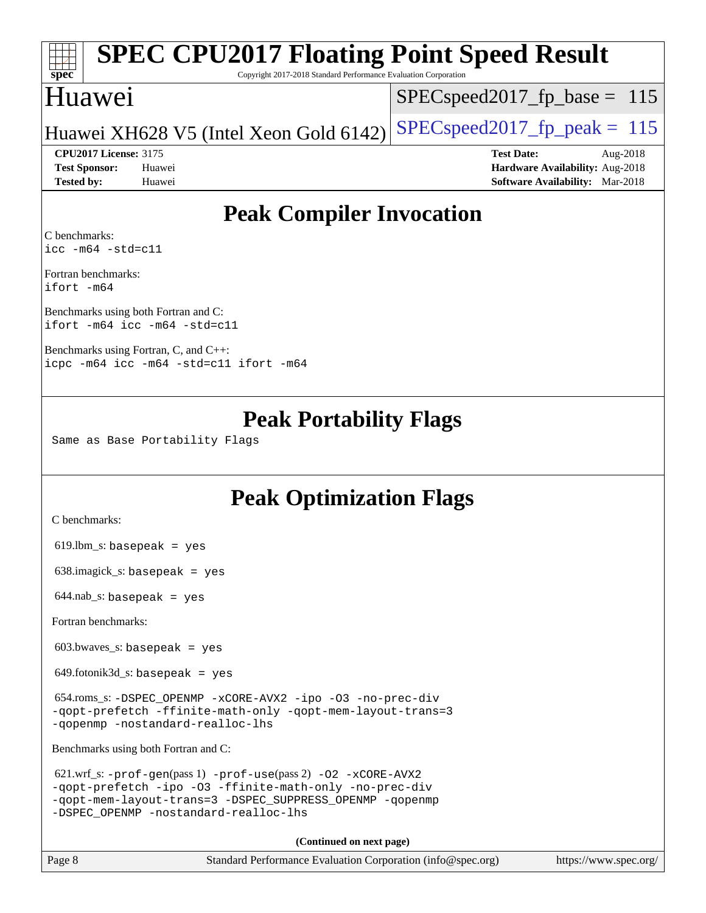### **[spec](http://www.spec.org/) [SPEC CPU2017 Floating Point Speed Result](http://www.spec.org/auto/cpu2017/Docs/result-fields.html#SPECCPU2017FloatingPointSpeedResult)** Copyright 2017-2018 Standard Performance Evaluation Corporation

### Huawei

SPECspeed2017 fp base =  $115$ 

### Huawei XH628 V5 (Intel Xeon Gold 6142) SPECspeed 2017 fp peak = 115

**[Tested by:](http://www.spec.org/auto/cpu2017/Docs/result-fields.html#Testedby)** Huawei **[Software Availability:](http://www.spec.org/auto/cpu2017/Docs/result-fields.html#SoftwareAvailability)** Mar-2018

**[CPU2017 License:](http://www.spec.org/auto/cpu2017/Docs/result-fields.html#CPU2017License)** 3175 **[Test Date:](http://www.spec.org/auto/cpu2017/Docs/result-fields.html#TestDate)** Aug-2018 **[Test Sponsor:](http://www.spec.org/auto/cpu2017/Docs/result-fields.html#TestSponsor)** Huawei **[Hardware Availability:](http://www.spec.org/auto/cpu2017/Docs/result-fields.html#HardwareAvailability)** Aug-2018

### **[Peak Compiler Invocation](http://www.spec.org/auto/cpu2017/Docs/result-fields.html#PeakCompilerInvocation)**

[C benchmarks](http://www.spec.org/auto/cpu2017/Docs/result-fields.html#Cbenchmarks): [icc -m64 -std=c11](http://www.spec.org/cpu2017/results/res2018q4/cpu2017-20181025-09294.flags.html#user_CCpeak_intel_icc_64bit_c11_33ee0cdaae7deeeab2a9725423ba97205ce30f63b9926c2519791662299b76a0318f32ddfffdc46587804de3178b4f9328c46fa7c2b0cd779d7a61945c91cd35)

[Fortran benchmarks:](http://www.spec.org/auto/cpu2017/Docs/result-fields.html#Fortranbenchmarks) [ifort -m64](http://www.spec.org/cpu2017/results/res2018q4/cpu2017-20181025-09294.flags.html#user_FCpeak_intel_ifort_64bit_24f2bb282fbaeffd6157abe4f878425411749daecae9a33200eee2bee2fe76f3b89351d69a8130dd5949958ce389cf37ff59a95e7a40d588e8d3a57e0c3fd751)

[Benchmarks using both Fortran and C](http://www.spec.org/auto/cpu2017/Docs/result-fields.html#BenchmarksusingbothFortranandC): [ifort -m64](http://www.spec.org/cpu2017/results/res2018q4/cpu2017-20181025-09294.flags.html#user_CC_FCpeak_intel_ifort_64bit_24f2bb282fbaeffd6157abe4f878425411749daecae9a33200eee2bee2fe76f3b89351d69a8130dd5949958ce389cf37ff59a95e7a40d588e8d3a57e0c3fd751) [icc -m64 -std=c11](http://www.spec.org/cpu2017/results/res2018q4/cpu2017-20181025-09294.flags.html#user_CC_FCpeak_intel_icc_64bit_c11_33ee0cdaae7deeeab2a9725423ba97205ce30f63b9926c2519791662299b76a0318f32ddfffdc46587804de3178b4f9328c46fa7c2b0cd779d7a61945c91cd35)

[Benchmarks using Fortran, C, and C++](http://www.spec.org/auto/cpu2017/Docs/result-fields.html#BenchmarksusingFortranCandCXX): [icpc -m64](http://www.spec.org/cpu2017/results/res2018q4/cpu2017-20181025-09294.flags.html#user_CC_CXX_FCpeak_intel_icpc_64bit_4ecb2543ae3f1412ef961e0650ca070fec7b7afdcd6ed48761b84423119d1bf6bdf5cad15b44d48e7256388bc77273b966e5eb805aefd121eb22e9299b2ec9d9) [icc -m64 -std=c11](http://www.spec.org/cpu2017/results/res2018q4/cpu2017-20181025-09294.flags.html#user_CC_CXX_FCpeak_intel_icc_64bit_c11_33ee0cdaae7deeeab2a9725423ba97205ce30f63b9926c2519791662299b76a0318f32ddfffdc46587804de3178b4f9328c46fa7c2b0cd779d7a61945c91cd35) [ifort -m64](http://www.spec.org/cpu2017/results/res2018q4/cpu2017-20181025-09294.flags.html#user_CC_CXX_FCpeak_intel_ifort_64bit_24f2bb282fbaeffd6157abe4f878425411749daecae9a33200eee2bee2fe76f3b89351d69a8130dd5949958ce389cf37ff59a95e7a40d588e8d3a57e0c3fd751)

### **[Peak Portability Flags](http://www.spec.org/auto/cpu2017/Docs/result-fields.html#PeakPortabilityFlags)**

Same as Base Portability Flags

### **[Peak Optimization Flags](http://www.spec.org/auto/cpu2017/Docs/result-fields.html#PeakOptimizationFlags)**

[C benchmarks](http://www.spec.org/auto/cpu2017/Docs/result-fields.html#Cbenchmarks):

 $619.$ lbm\_s: basepeak = yes

638.imagick\_s: basepeak = yes

 $644.nab$ <sub>S</sub>: basepeak = yes

[Fortran benchmarks](http://www.spec.org/auto/cpu2017/Docs/result-fields.html#Fortranbenchmarks):

603.bwaves\_s: basepeak = yes

 $649.$ fotonik $3d$ <sub>-</sub>s: basepeak = yes

 654.roms\_s: [-DSPEC\\_OPENMP](http://www.spec.org/cpu2017/results/res2018q4/cpu2017-20181025-09294.flags.html#suite_peakFOPTIMIZE654_roms_s_DSPEC_OPENMP) [-xCORE-AVX2](http://www.spec.org/cpu2017/results/res2018q4/cpu2017-20181025-09294.flags.html#user_peakFOPTIMIZE654_roms_s_f-xCORE-AVX2) [-ipo](http://www.spec.org/cpu2017/results/res2018q4/cpu2017-20181025-09294.flags.html#user_peakFOPTIMIZE654_roms_s_f-ipo) [-O3](http://www.spec.org/cpu2017/results/res2018q4/cpu2017-20181025-09294.flags.html#user_peakFOPTIMIZE654_roms_s_f-O3) [-no-prec-div](http://www.spec.org/cpu2017/results/res2018q4/cpu2017-20181025-09294.flags.html#user_peakFOPTIMIZE654_roms_s_f-no-prec-div) [-qopt-prefetch](http://www.spec.org/cpu2017/results/res2018q4/cpu2017-20181025-09294.flags.html#user_peakFOPTIMIZE654_roms_s_f-qopt-prefetch) [-ffinite-math-only](http://www.spec.org/cpu2017/results/res2018q4/cpu2017-20181025-09294.flags.html#user_peakFOPTIMIZE654_roms_s_f_finite_math_only_cb91587bd2077682c4b38af759c288ed7c732db004271a9512da14a4f8007909a5f1427ecbf1a0fb78ff2a814402c6114ac565ca162485bbcae155b5e4258871) [-qopt-mem-layout-trans=3](http://www.spec.org/cpu2017/results/res2018q4/cpu2017-20181025-09294.flags.html#user_peakFOPTIMIZE654_roms_s_f-qopt-mem-layout-trans_de80db37974c74b1f0e20d883f0b675c88c3b01e9d123adea9b28688d64333345fb62bc4a798493513fdb68f60282f9a726aa07f478b2f7113531aecce732043) [-qopenmp](http://www.spec.org/cpu2017/results/res2018q4/cpu2017-20181025-09294.flags.html#user_peakFOPTIMIZE654_roms_s_qopenmp_16be0c44f24f464004c6784a7acb94aca937f053568ce72f94b139a11c7c168634a55f6653758ddd83bcf7b8463e8028bb0b48b77bcddc6b78d5d95bb1df2967) [-nostandard-realloc-lhs](http://www.spec.org/cpu2017/results/res2018q4/cpu2017-20181025-09294.flags.html#user_peakEXTRA_FOPTIMIZE654_roms_s_f_2003_std_realloc_82b4557e90729c0f113870c07e44d33d6f5a304b4f63d4c15d2d0f1fab99f5daaed73bdb9275d9ae411527f28b936061aa8b9c8f2d63842963b95c9dd6426b8a)

[Benchmarks using both Fortran and C](http://www.spec.org/auto/cpu2017/Docs/result-fields.html#BenchmarksusingbothFortranandC):

```
 621.wrf_s: -prof-gen(pass 1) -prof-use(pass 2) -O2 -xCORE-AVX2
-qopt-prefetch -ipo -O3 -ffinite-math-only -no-prec-div
-qopt-mem-layout-trans=3 -DSPEC_SUPPRESS_OPENMP -qopenmp
-DSPEC_OPENMP -nostandard-realloc-lhs
```
**(Continued on next page)**